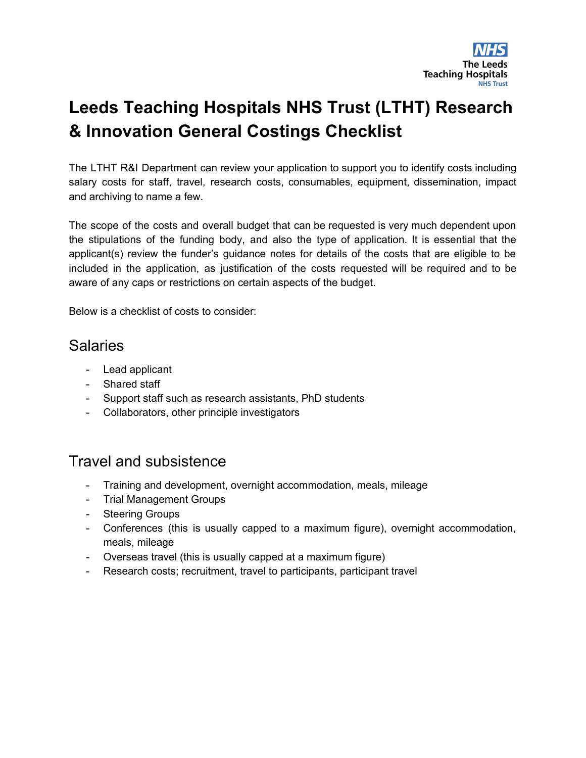

# **Leeds Teaching Hospitals NHS Trust (LTHT) Research & Innovation General Costings Checklist**

The LTHT R&I Department can review your application to support you to identify costs including salary costs for staff, travel, research costs, consumables, equipment, dissemination, impact and archiving to name a few.

The scope of the costs and overall budget that can be requested is very much dependent upon the stipulations of the funding body, and also the type of application. It is essential that the applicant(s) review the funder's guidance notes for details of the costs that are eligible to be included in the application, as justification of the costs requested will be required and to be aware of any caps or restrictions on certain aspects of the budget.

Below is a checklist of costs to consider:

#### Salaries

- Lead applicant
- Shared staff
- Support staff such as research assistants, PhD students
- Collaborators, other principle investigators

## Travel and subsistence

- Training and development, overnight accommodation, meals, mileage
- Trial Management Groups
- Steering Groups
- Conferences (this is usually capped to a maximum figure), overnight accommodation, meals, mileage
- Overseas travel (this is usually capped at a maximum figure)
- Research costs; recruitment, travel to participants, participant travel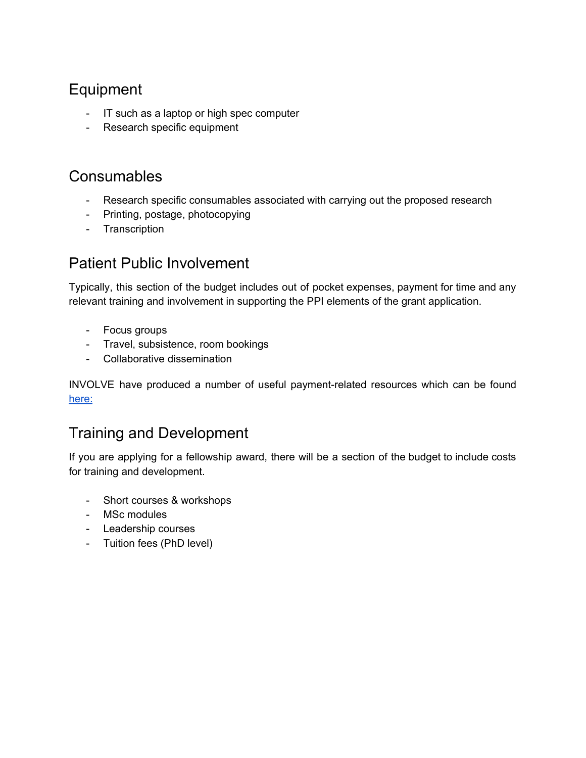# Equipment

- IT such as a laptop or high spec computer
- Research specific equipment

#### **Consumables**

- Research specific consumables associated with carrying out the proposed research
- Printing, postage, photocopying
- Transcription

## Patient Public Involvement

Typically, this section of the budget includes out of pocket expenses, payment for time and any relevant training and involvement in supporting the PPI elements of the grant application.

- Focus groups
- Travel, subsistence, room bookings
- Collaborative dissemination

INVOLVE have produced a number of useful payment-related resources which can be found [here:](http://www.invo.org.uk/resource-centre/payment-and-recognition-for-public-involvement/)

## Training and Development

If you are applying for a fellowship award, there will be a section of the budget to include costs for training and development.

- Short courses & workshops
- MSc modules
- Leadership courses
- Tuition fees (PhD level)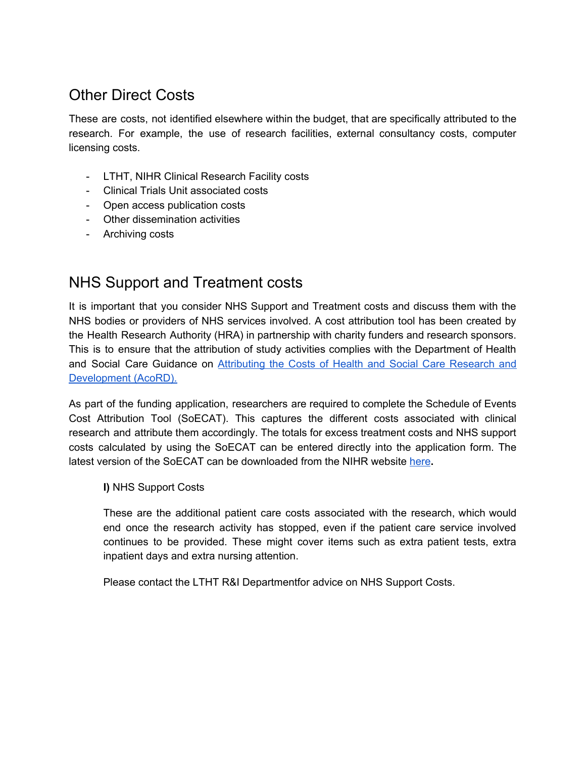# Other Direct Costs

These are costs, not identified elsewhere within the budget, that are specifically attributed to the research. For example, the use of research facilities, external consultancy costs, computer licensing costs.

- LTHT, NIHR Clinical Research Facility costs
- Clinical Trials Unit associated costs
- Open access publication costs
- Other dissemination activities
- Archiving costs

# NHS Support and Treatment costs

It is important that you consider NHS Support and Treatment costs and discuss them with the NHS bodies or providers of NHS services involved. A cost attribution tool has been created by the Health Research Authority (HRA) in partnership with charity funders and research sponsors. This is to ensure that the attribution of study activities complies with the Department of Health and Social Care Guidance on [Attributing](https://www.gov.uk/government/publications/guidance-on-attributing-the-costs-of-health-and-social-care-research) the Costs of Health and Social Care Research and [Development](https://www.gov.uk/government/publications/guidance-on-attributing-the-costs-of-health-and-social-care-research) (AcoRD).

As part of the funding application, researchers are required to complete the Schedule of Events Cost Attribution Tool (SoECAT). This captures the different costs associated with clinical research and attribute them accordingly. The totals for excess treatment costs and NHS support costs calculated by using the SoECAT can be entered directly into the application form. The latest version of the SoECAT can be downloaded from the NIHR website [here](https://www.nihr.ac.uk/researchers/collaborations-services-and-support-for-your-research/run-your-study/excess-treatment-costs.htm)**.**

**I)** NHS Support Costs

These are the additional patient care costs associated with the research, which would end once the research activity has stopped, even if the patient care service involved continues to be provided. These might cover items such as extra patient tests, extra inpatient days and extra nursing attention.

Please contact the LTHT R&I Departmentfor advice on NHS Support Costs.